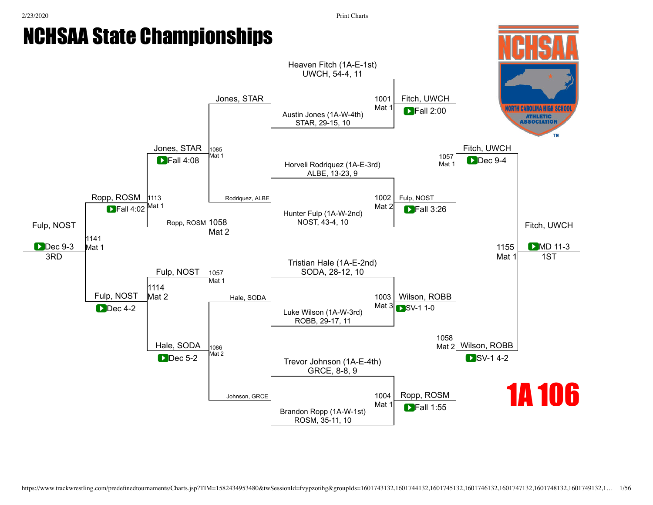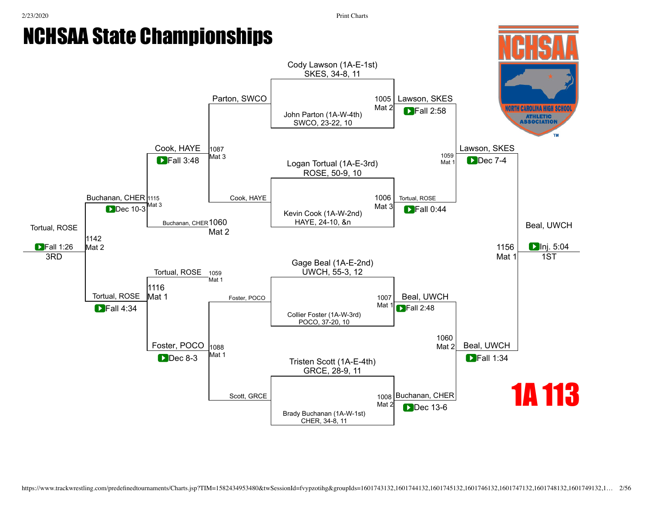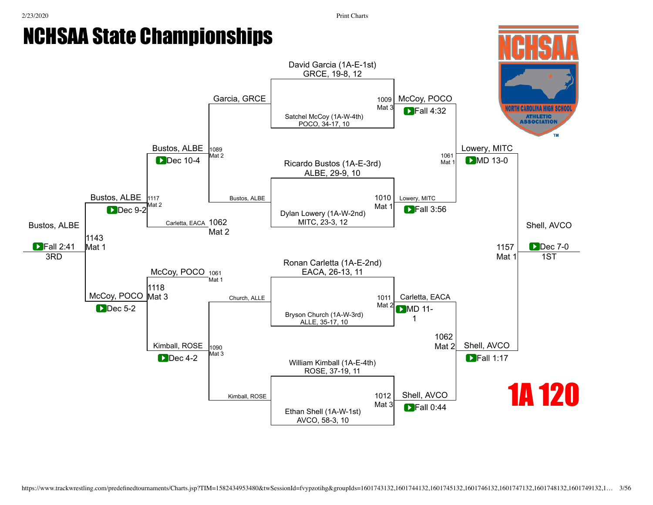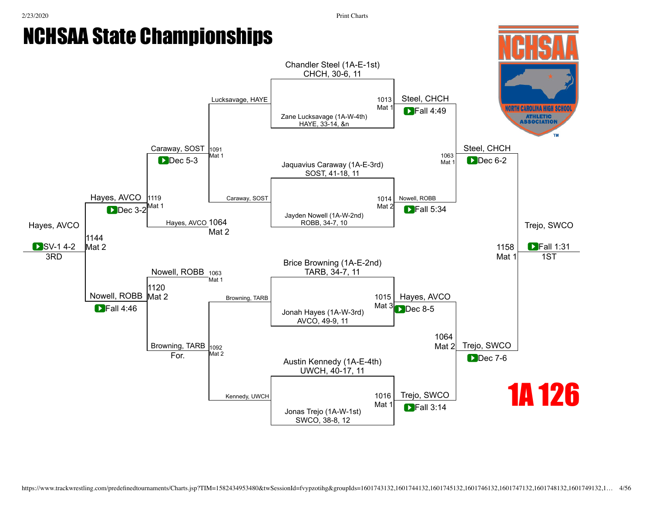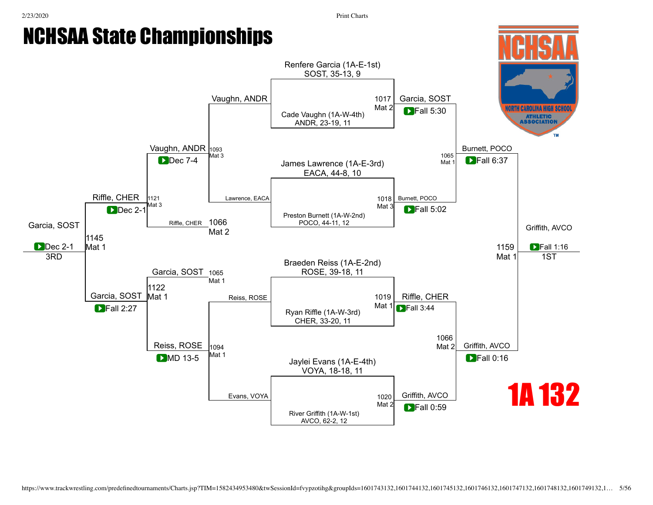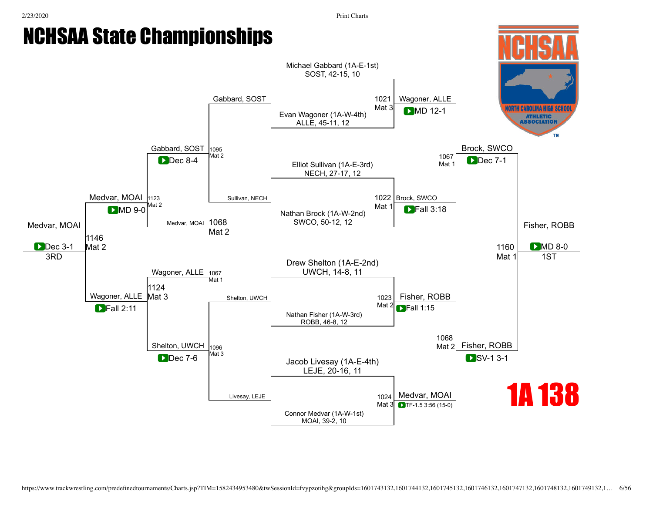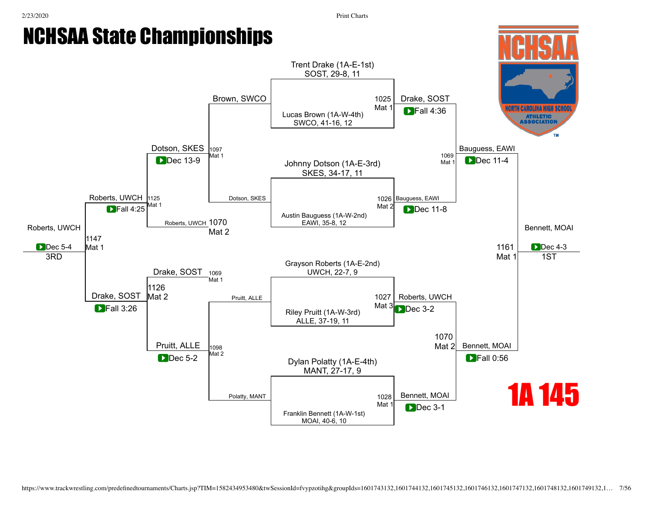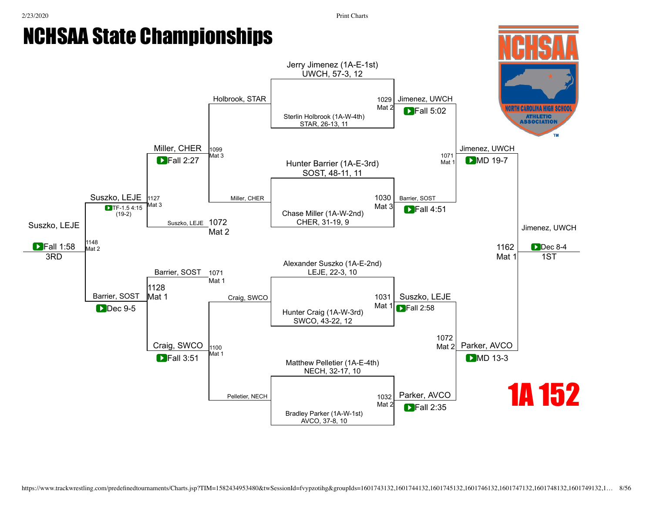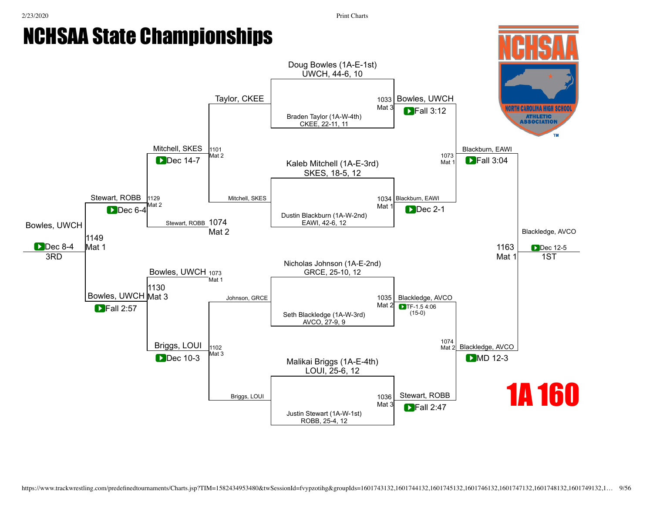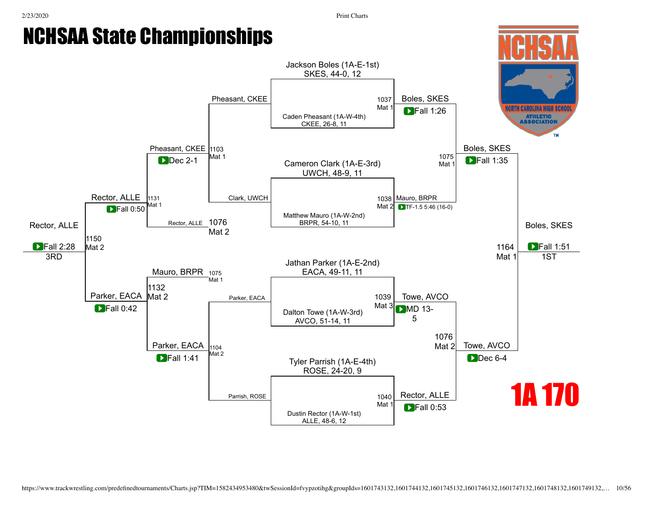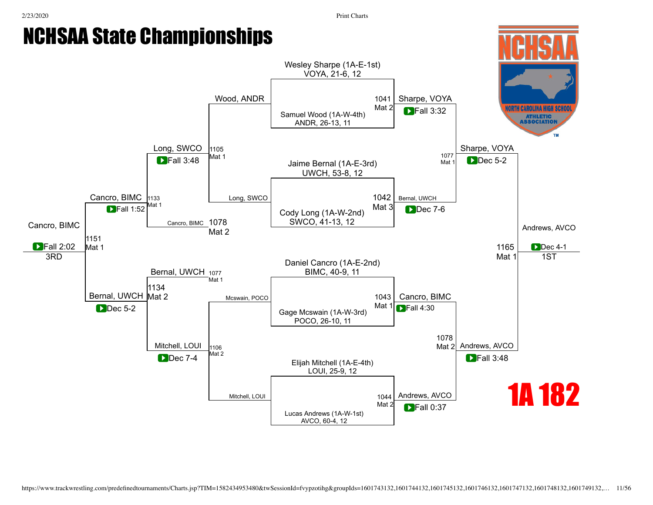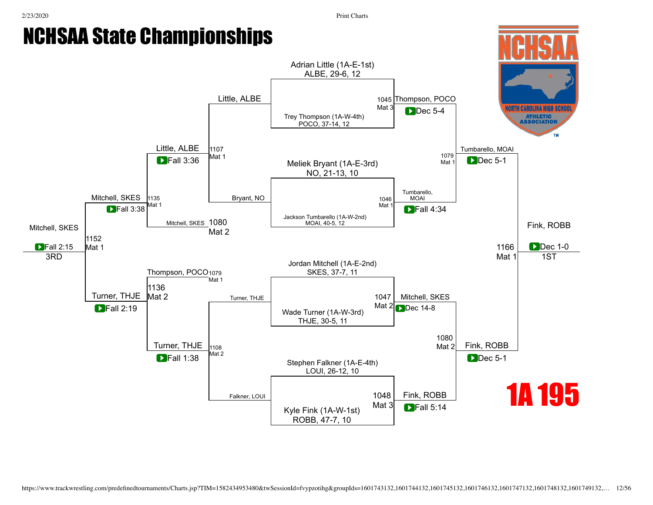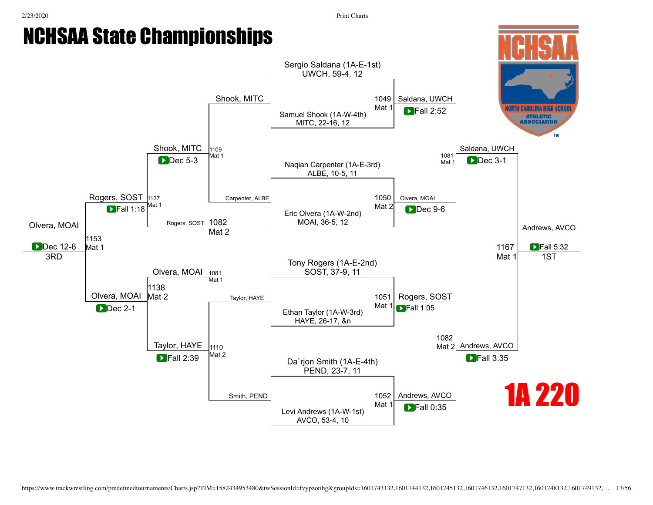